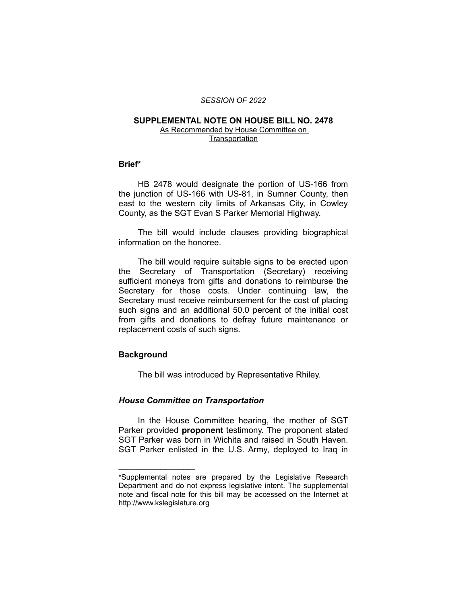#### *SESSION OF 2022*

### **SUPPLEMENTAL NOTE ON HOUSE BILL NO. 2478**

As Recommended by House Committee on **Transportation** 

## **Brief\***

HB 2478 would designate the portion of US-166 from the junction of US-166 with US-81, in Sumner County, then east to the western city limits of Arkansas City, in Cowley County, as the SGT Evan S Parker Memorial Highway.

The bill would include clauses providing biographical information on the honoree.

The bill would require suitable signs to be erected upon the Secretary of Transportation (Secretary) receiving sufficient moneys from gifts and donations to reimburse the Secretary for those costs. Under continuing law, the Secretary must receive reimbursement for the cost of placing such signs and an additional 50.0 percent of the initial cost from gifts and donations to defray future maintenance or replacement costs of such signs.

### **Background**

 $\overline{\phantom{a}}$  , where  $\overline{\phantom{a}}$ 

The bill was introduced by Representative Rhiley.

#### *House Committee on Transportation*

In the House Committee hearing, the mother of SGT Parker provided **proponent** testimony. The proponent stated SGT Parker was born in Wichita and raised in South Haven. SGT Parker enlisted in the U.S. Army, deployed to Iraq in

<sup>\*</sup>Supplemental notes are prepared by the Legislative Research Department and do not express legislative intent. The supplemental note and fiscal note for this bill may be accessed on the Internet at http://www.kslegislature.org